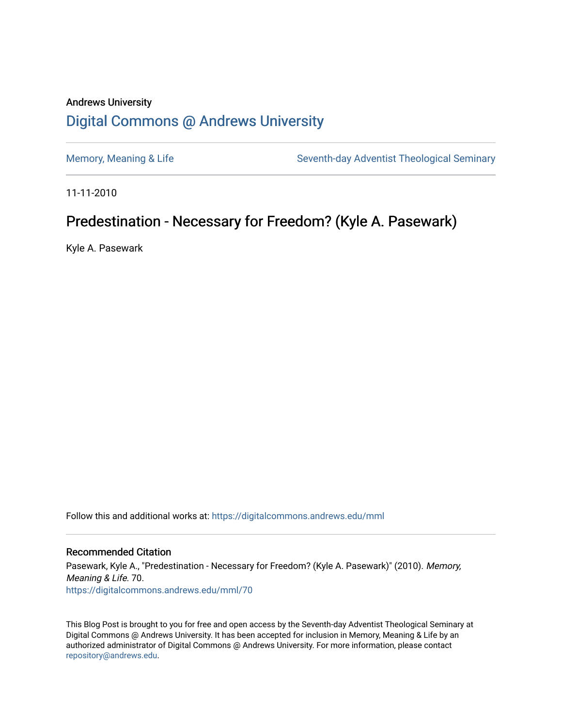## Andrews University [Digital Commons @ Andrews University](https://digitalcommons.andrews.edu/)

[Memory, Meaning & Life](https://digitalcommons.andrews.edu/mml) Seventh-day Adventist Theological Seminary

11-11-2010

## Predestination - Necessary for Freedom? (Kyle A. Pasewark)

Kyle A. Pasewark

Follow this and additional works at: [https://digitalcommons.andrews.edu/mml](https://digitalcommons.andrews.edu/mml?utm_source=digitalcommons.andrews.edu%2Fmml%2F70&utm_medium=PDF&utm_campaign=PDFCoverPages) 

#### Recommended Citation

Pasewark, Kyle A., "Predestination - Necessary for Freedom? (Kyle A. Pasewark)" (2010). Memory, Meaning & Life. 70. [https://digitalcommons.andrews.edu/mml/70](https://digitalcommons.andrews.edu/mml/70?utm_source=digitalcommons.andrews.edu%2Fmml%2F70&utm_medium=PDF&utm_campaign=PDFCoverPages)

This Blog Post is brought to you for free and open access by the Seventh-day Adventist Theological Seminary at Digital Commons @ Andrews University. It has been accepted for inclusion in Memory, Meaning & Life by an authorized administrator of Digital Commons @ Andrews University. For more information, please contact [repository@andrews.edu](mailto:repository@andrews.edu).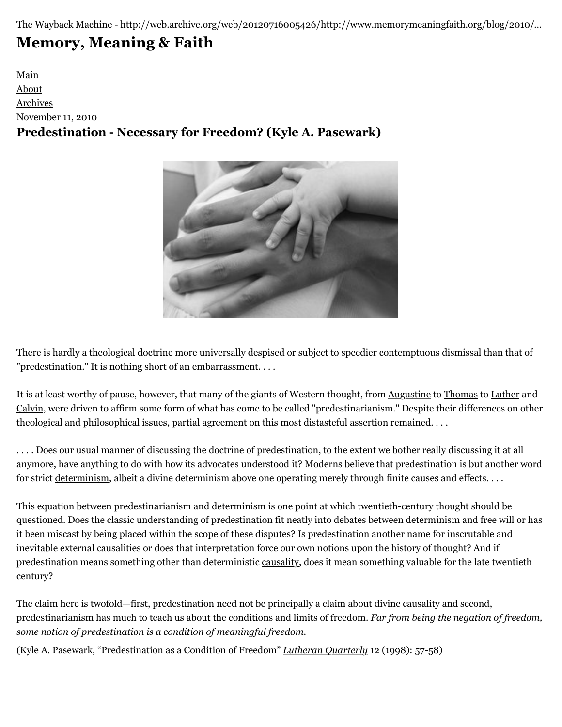The Wayback Machine - http://web.archive.org/web/20120716005426/http://www.memorymeaningfaith.org/blog/2010/…

# **[Memory, Meaning & Faith](http://web.archive.org/web/20120716005426/http://www.memorymeaningfaith.org/blog/)**

[Main](http://web.archive.org/web/20120716005426/http://www.memorymeaningfaith.org/blog) [About](http://web.archive.org/web/20120716005426/http://www.memorymeaningfaith.org/blog/about.html) [Archives](http://web.archive.org/web/20120716005426/http://www.memorymeaningfaith.org/blog/archives.html) November 11, 2010 **Predestination - Necessary for Freedom? (Kyle A. Pasewark)**



There is hardly a theological doctrine more universally despised or subject to speedier contemptuous dismissal than that of "predestination." It is nothing short of an embarrassment. . . .

It is at least worthy of pause, however, that many of the giants of Western thought, from [Augustine](http://web.archive.org/web/20120716005426/http://en.wikipedia.org/wiki/Augustine) to [Thomas](http://web.archive.org/web/20120716005426/http://en.wikipedia.org/wiki/Thomas_Aquinas) to [Luther](http://web.archive.org/web/20120716005426/http://en.wikipedia.org/wiki/Martin_luther) and [Calvin](http://web.archive.org/web/20120716005426/http://en.wikipedia.org/wiki/John_Calvin), were driven to affirm some form of what has come to be called "predestinarianism." Despite their differences on other theological and philosophical issues, partial agreement on this most distasteful assertion remained. . . .

. . . . Does our usual manner of discussing the doctrine of predestination, to the extent we bother really discussing it at all anymore, have anything to do with how its advocates understood it? Moderns believe that predestination is but another word for strict [determinism,](http://web.archive.org/web/20120716005426/http://en.wikipedia.org/wiki/Determinism) albeit a divine determinism above one operating merely through finite causes and effects. . . .

This equation between predestinarianism and determinism is one point at which twentieth-century thought should be questioned. Does the classic understanding of predestination fit neatly into debates between determinism and free will or has it been miscast by being placed within the scope of these disputes? Is predestination another name for inscrutable and inevitable external causalities or does that interpretation force our own notions upon the history of thought? And if predestination means something other than deterministic [causality,](http://web.archive.org/web/20120716005426/http://en.wikipedia.org/wiki/Causality) does it mean something valuable for the late twentieth century?

The claim here is twofold—first, predestination need not be principally a claim about divine causality and second, predestinarianism has much to teach us about the conditions and limits of freedom. *Far from being the negation of freedom, some notion of predestination is a condition of meaningful freedom.*

(Kyle A. Pasewark, ["Predestination](http://web.archive.org/web/20120716005426/http://en.wikipedia.org/wiki/Predestination) as a Condition of [Freedom"](http://web.archive.org/web/20120716005426/http://en.wikipedia.org/wiki/Free_will_in_theology) *[Lutheran Quarterly](http://web.archive.org/web/20120716005426/http://www.lutheranquarterly.com/)* 12 (1998): 57-58)